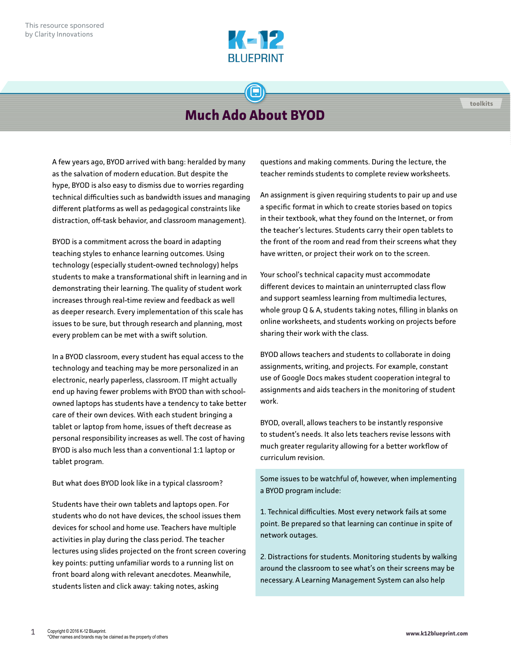

## **Much Ado About BYOD**

A few years ago, BYOD arrived with bang: heralded by many as the salvation of modern education. But despite the hype, BYOD is also easy to dismiss due to worries regarding technical difficulties such as bandwidth issues and managing different platforms as well as pedagogical constraints like distraction, off-task behavior, and classroom management).

BYOD is a commitment across the board in adapting teaching styles to enhance learning outcomes. Using technology (especially student-owned technology) helps students to make a transformational shift in learning and in demonstrating their learning. The quality of student work increases through real-time review and feedback as well as deeper research. Every implementation of this scale has issues to be sure, but through research and planning, most every problem can be met with a swift solution.

In a BYOD classroom, every student has equal access to the technology and teaching may be more personalized in an electronic, nearly paperless, classroom. IT might actually end up having fewer problems with BYOD than with schoolowned laptops has students have a tendency to take better care of their own devices. With each student bringing a tablet or laptop from home, issues of theft decrease as personal responsibility increases as well. The cost of having BYOD is also much less than a conventional 1:1 laptop or tablet program.

But what does BYOD look like in a typical classroom?

Students have their own tablets and laptops open. For students who do not have devices, the school issues them devices for school and home use. Teachers have multiple activities in play during the class period. The teacher lectures using slides projected on the front screen covering key points: putting unfamiliar words to a running list on front board along with relevant anecdotes. Meanwhile, students listen and click away: taking notes, asking

questions and making comments. During the lecture, the teacher reminds students to complete review worksheets.

An assignment is given requiring students to pair up and use a specific format in which to create stories based on topics in their textbook, what they found on the Internet, or from the teacher's lectures. Students carry their open tablets to the front of the room and read from their screens what they have written, or project their work on to the screen.

Your school's technical capacity must accommodate different devices to maintain an uninterrupted class flow and support seamless learning from multimedia lectures, whole group Q & A, students taking notes, filling in blanks on online worksheets, and students working on projects before sharing their work with the class.

BYOD allows teachers and students to collaborate in doing assignments, writing, and projects. For example, constant use of Google Docs makes student cooperation integral to assignments and aids teachers in the monitoring of student work.

BYOD, overall, allows teachers to be instantly responsive to student's needs. It also lets teachers revise lessons with much greater regularity allowing for a better workflow of curriculum revision.

Some issues to be watchful of, however, when implementing a BYOD program include:

1. Technical difficulties. Most every network fails at some point. Be prepared so that learning can continue in spite of network outages.

2. Distractions for students. Monitoring students by walking around the classroom to see what's on their screens may be necessary. A Learning Management System can also help

**toolkits**